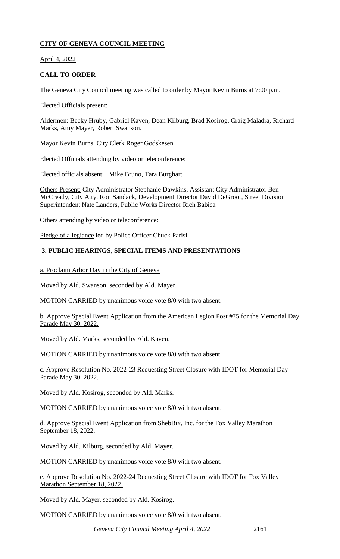## **CITY OF GENEVA COUNCIL MEETING**

April 4, 2022

# **CALL TO ORDER**

The Geneva City Council meeting was called to order by Mayor Kevin Burns at 7:00 p.m.

Elected Officials present:

Aldermen: Becky Hruby, Gabriel Kaven, Dean Kilburg, Brad Kosirog, Craig Maladra, Richard Marks, Amy Mayer, Robert Swanson.

Mayor Kevin Burns, City Clerk Roger Godskesen

Elected Officials attending by video or teleconference:

Elected officials absent: Mike Bruno, Tara Burghart

Others Present: City Administrator Stephanie Dawkins, Assistant City Administrator Ben McCready, City Atty. Ron Sandack, Development Director David DeGroot, Street Division Superintendent Nate Landers, Public Works Director Rich Babica

Others attending by video or teleconference:

Pledge of allegiance led by Police Officer Chuck Parisi

## **3. PUBLIC HEARINGS, SPECIAL ITEMS AND PRESENTATIONS**

a. Proclaim Arbor Day in the City of Geneva

Moved by Ald. Swanson, seconded by Ald. Mayer.

MOTION CARRIED by unanimous voice vote 8/0 with two absent.

b. Approve Special Event Application from the American Legion Post #75 for the Memorial Day Parade May 30, 2022.

Moved by Ald. Marks, seconded by Ald. Kaven.

MOTION CARRIED by unanimous voice vote 8/0 with two absent.

c. Approve Resolution No. 2022-23 Requesting Street Closure with IDOT for Memorial Day Parade May 30, 2022.

Moved by Ald. Kosirog, seconded by Ald. Marks.

MOTION CARRIED by unanimous voice vote 8/0 with two absent.

d. Approve Special Event Application from ShebBix, Inc. for the Fox Valley Marathon September 18, 2022.

Moved by Ald. Kilburg, seconded by Ald. Mayer.

MOTION CARRIED by unanimous voice vote 8/0 with two absent.

e. Approve Resolution No. 2022-24 Requesting Street Closure with IDOT for Fox Valley Marathon September 18, 2022.

Moved by Ald. Mayer, seconded by Ald. Kosirog.

MOTION CARRIED by unanimous voice vote 8/0 with two absent.

*Geneva City Council Meeting April 4, 2022* 2161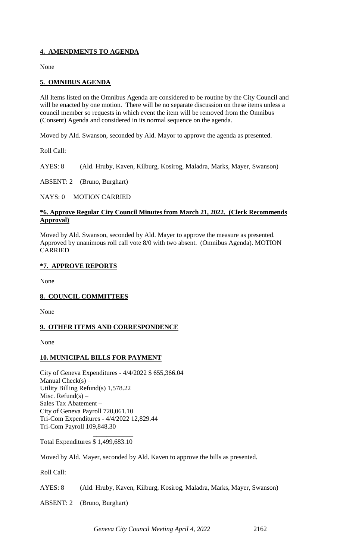## **4. AMENDMENTS TO AGENDA**

None

### **5. OMNIBUS AGENDA**

All Items listed on the Omnibus Agenda are considered to be routine by the City Council and will be enacted by one motion. There will be no separate discussion on these items unless a council member so requests in which event the item will be removed from the Omnibus (Consent) Agenda and considered in its normal sequence on the agenda.

Moved by Ald. Swanson, seconded by Ald. Mayor to approve the agenda as presented.

Roll Call:

AYES: 8 (Ald. Hruby, Kaven, Kilburg, Kosirog, Maladra, Marks, Mayer, Swanson)

ABSENT: 2 (Bruno, Burghart)

NAYS: 0 MOTION CARRIED

### **\*6. Approve Regular City Council Minutes from March 21, 2022. (Clerk Recommends Approval)**

Moved by Ald. Swanson, seconded by Ald. Mayer to approve the measure as presented. Approved by unanimous roll call vote 8/0 with two absent. (Omnibus Agenda). MOTION CARRIED

### **\*7. APPROVE REPORTS**

None

## **8. COUNCIL COMMITTEES**

None

## **9. OTHER ITEMS AND CORRESPONDENCE**

None

#### **10. MUNICIPAL BILLS FOR PAYMENT**

City of Geneva Expenditures - 4/4/2022 \$ 655,366.04 Manual  $Check(s) -$ Utility Billing Refund(s) 1,578.22 Misc. Refund(s)  $-$ Sales Tax Abatement – City of Geneva Payroll 720,061.10 Tri-Com Expenditures - 4/4/2022 12,829.44 Tri-Com Payroll 109,848.30

 $\frac{1}{2}$  , and the set of  $\frac{1}{2}$  , and the set of  $\frac{1}{2}$ Total Expenditures \$ 1,499,683.10

Moved by Ald. Mayer, seconded by Ald. Kaven to approve the bills as presented.

Roll Call:

AYES: 8 (Ald. Hruby, Kaven, Kilburg, Kosirog, Maladra, Marks, Mayer, Swanson)

ABSENT: 2 (Bruno, Burghart)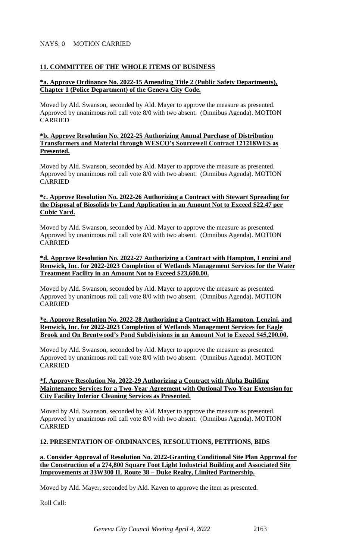### NAYS: 0 MOTION CARRIED

### **11. COMMITTEE OF THE WHOLE ITEMS OF BUSINESS**

### **\*a. Approve Ordinance No. 2022-15 Amending Title 2 (Public Safety Departments), Chapter 1 (Police Department) of the Geneva City Code.**

Moved by Ald. Swanson, seconded by Ald. Mayer to approve the measure as presented. Approved by unanimous roll call vote 8/0 with two absent. (Omnibus Agenda). MOTION CARRIED

#### **\*b. Approve Resolution No. 2022-25 Authorizing Annual Purchase of Distribution Transformers and Material through WESCO's Sourcewell Contract 121218WES as Presented.**

Moved by Ald. Swanson, seconded by Ald. Mayer to approve the measure as presented. Approved by unanimous roll call vote 8/0 with two absent. (Omnibus Agenda). MOTION CARRIED

### **\*c. Approve Resolution No. 2022-26 Authorizing a Contract with Stewart Spreading for the Disposal of Biosolids by Land Application in an Amount Not to Exceed \$22.47 per Cubic Yard.**

Moved by Ald. Swanson, seconded by Ald. Mayer to approve the measure as presented. Approved by unanimous roll call vote 8/0 with two absent. (Omnibus Agenda). MOTION CARRIED

### **\*d. Approve Resolution No. 2022-27 Authorizing a Contract with Hampton, Lenzini and Renwick, Inc. for 2022-2023 Completion of Wetlands Management Services for the Water Treatment Facility in an Amount Not to Exceed \$23,600.00.**

Moved by Ald. Swanson, seconded by Ald. Mayer to approve the measure as presented. Approved by unanimous roll call vote 8/0 with two absent. (Omnibus Agenda). MOTION CARRIED

**\*e. Approve Resolution No. 2022-28 Authorizing a Contract with Hampton, Lenzini, and Renwick, Inc. for 2022-2023 Completion of Wetlands Management Services for Eagle Brook and On Brentwood's Pond Subdivisions in an Amount Not to Exceed \$45,200.00.** 

Moved by Ald. Swanson, seconded by Ald. Mayer to approve the measure as presented. Approved by unanimous roll call vote 8/0 with two absent. (Omnibus Agenda). MOTION CARRIED

#### **\*f. Approve Resolution No. 2022-29 Authorizing a Contract with Alpha Building Maintenance Services for a Two-Year Agreement with Optional Two-Year Extension for City Facility Interior Cleaning Services as Presented.**

Moved by Ald. Swanson, seconded by Ald. Mayer to approve the measure as presented. Approved by unanimous roll call vote 8/0 with two absent. (Omnibus Agenda). MOTION CARRIED

## **12. PRESENTATION OF ORDINANCES, RESOLUTIONS, PETITIONS, BIDS**

### **a. Consider Approval of Resolution No. 2022-Granting Conditional Site Plan Approval for the Construction of a 274,800 Square Foot Light Industrial Building and Associated Site Improvements at 33W300 IL Route 38 – Duke Realty, Limited Partnership.**

Moved by Ald. Mayer, seconded by Ald. Kaven to approve the item as presented.

Roll Call: